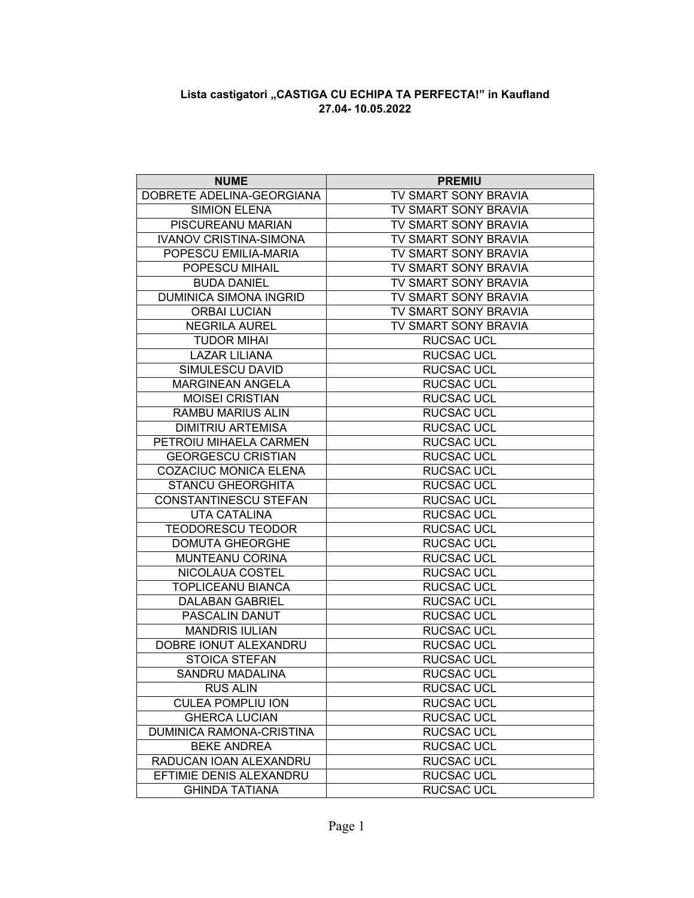## **Lista castigatori "CASTIGA CU ECHIPA TA PERFECTA!" in Kaufland 27.04- 10.05.2022**

| <b>NUME</b>                   | <b>PREMIU</b>               |
|-------------------------------|-----------------------------|
| DOBRETE ADELINA-GEORGIANA     | TV SMART SONY BRAVIA        |
| <b>SIMION ELENA</b>           | TV SMART SONY BRAVIA        |
| PISCUREANU MARIAN             | TV SMART SONY BRAVIA        |
| <b>IVANOV CRISTINA-SIMONA</b> | <b>TV SMART SONY BRAVIA</b> |
| POPESCU EMILIA-MARIA          | TV SMART SONY BRAVIA        |
| POPESCU MIHAIL                | TV SMART SONY BRAVIA        |
| <b>BUDA DANIEL</b>            | TV SMART SONY BRAVIA        |
| <b>DUMINICA SIMONA INGRID</b> | TV SMART SONY BRAVIA        |
| <b>ORBAI LUCIAN</b>           | TV SMART SONY BRAVIA        |
| <b>NEGRILA AUREL</b>          | TV SMART SONY BRAVIA        |
| <b>TUDOR MIHAI</b>            | <b>RUCSAC UCL</b>           |
| <b>LAZAR LILIANA</b>          | <b>RUCSAC UCL</b>           |
| SIMULESCU DAVID               | <b>RUCSAC UCL</b>           |
| <b>MARGINEAN ANGELA</b>       | <b>RUCSAC UCL</b>           |
| <b>MOISEI CRISTIAN</b>        | <b>RUCSAC UCL</b>           |
| RAMBU MARIUS ALIN             | <b>RUCSAC UCL</b>           |
| <b>DIMITRIU ARTEMISA</b>      | <b>RUCSAC UCL</b>           |
| PETROIU MIHAELA CARMEN        | <b>RUCSAC UCL</b>           |
| <b>GEORGESCU CRISTIAN</b>     | <b>RUCSAC UCL</b>           |
| <b>COZACIUC MONICA ELENA</b>  | <b>RUCSAC UCL</b>           |
| <b>STANCU GHEORGHITA</b>      | <b>RUCSAC UCL</b>           |
| CONSTANTINESCU STEFAN         | RUCSAC UCL                  |
| <b>UTA CATALINA</b>           | <b>RUCSAC UCL</b>           |
| <b>TEODORESCU TEODOR</b>      | <b>RUCSAC UCL</b>           |
| <b>DOMUTA GHEORGHE</b>        | <b>RUCSAC UCL</b>           |
| MUNTEANU CORINA               | <b>RUCSAC UCL</b>           |
| NICOLAUA COSTEL               | RUCSAC UCL                  |
| <b>TOPLICEANU BIANCA</b>      | <b>RUCSAC UCL</b>           |
| <b>DALABAN GABRIEL</b>        | <b>RUCSAC UCL</b>           |
| PASCALIN DANUT                | <b>RUCSAC UCL</b>           |
| <b>MANDRIS IULIAN</b>         | <b>RUCSAC UCL</b>           |
| DOBRE IONUT ALEXANDRU         | <b>RUCSAC UCL</b>           |
| <b>STOICA STEFAN</b>          | <b>RUCSAC UCL</b>           |
| <b>SANDRU MADALINA</b>        | <b>RUCSAC UCL</b>           |
| <b>RUS ALIN</b>               | <b>RUCSAC UCL</b>           |
| <b>CULEA POMPLIU ION</b>      | <b>RUCSAC UCL</b>           |
| <b>GHERCA LUCIAN</b>          | <b>RUCSAC UCL</b>           |
| DUMINICA RAMONA-CRISTINA      | <b>RUCSAC UCL</b>           |
| <b>BEKE ANDREA</b>            | RUCSAC UCL                  |
| RADUCAN IOAN ALEXANDRU        | <b>RUCSAC UCL</b>           |
| EFTIMIE DENIS ALEXANDRU       | <b>RUCSAC UCL</b>           |
| <b>GHINDA TATIANA</b>         | <b>RUCSAC UCL</b>           |